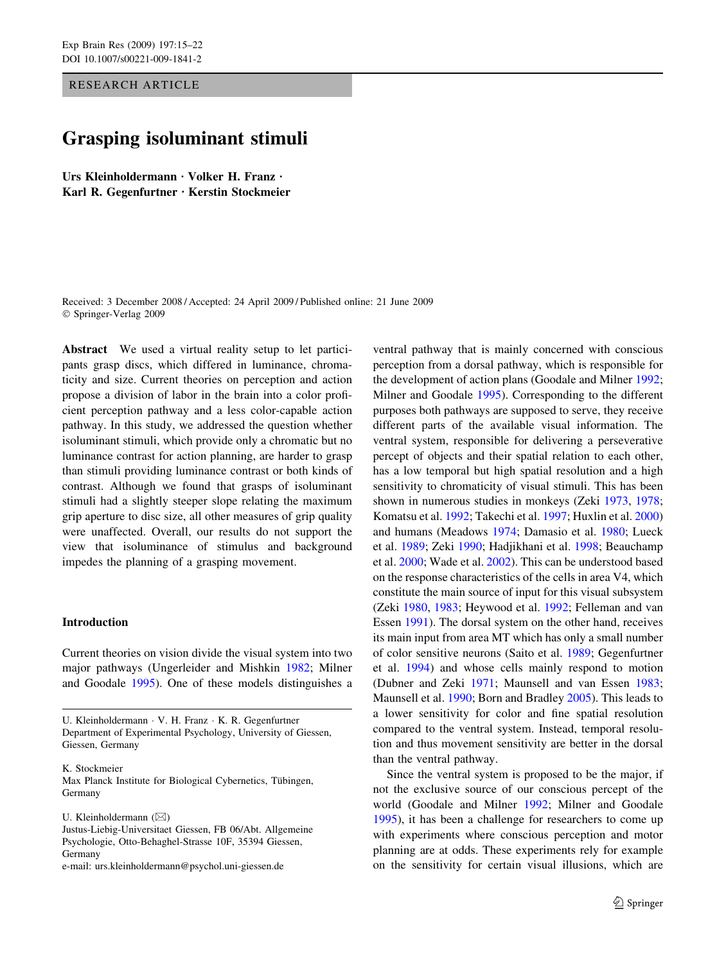RESEARCH ARTICLE

# Grasping isoluminant stimuli

Urs Kleinholdermann  $\cdot$  Volker H. Franz  $\cdot$ Karl R. Gegenfurtner · Kerstin Stockmeier

Received: 3 December 2008 / Accepted: 24 April 2009 / Published online: 21 June 2009 © Springer-Verlag 2009

Abstract We used a virtual reality setup to let participants grasp discs, which differed in luminance, chromaticity and size. Current theories on perception and action propose a division of labor in the brain into a color proficient perception pathway and a less color-capable action pathway. In this study, we addressed the question whether isoluminant stimuli, which provide only a chromatic but no luminance contrast for action planning, are harder to grasp than stimuli providing luminance contrast or both kinds of contrast. Although we found that grasps of isoluminant stimuli had a slightly steeper slope relating the maximum grip aperture to disc size, all other measures of grip quality were unaffected. Overall, our results do not support the view that isoluminance of stimulus and background impedes the planning of a grasping movement.

# Introduction

Current theories on vision divide the visual system into two major pathways (Ungerleider and Mishkin [1982](#page-7-0); Milner and Goodale [1995\)](#page-7-0). One of these models distinguishes a

U. Kleinholdermann · V. H. Franz · K. R. Gegenfurtner Department of Experimental Psychology, University of Giessen, Giessen, Germany

K. Stockmeier

Max Planck Institute for Biological Cybernetics, Tübingen, Germany

U. Kleinholdermann  $(\boxtimes)$ 

e-mail: urs.kleinholdermann@psychol.uni-giessen.de

ventral pathway that is mainly concerned with conscious perception from a dorsal pathway, which is responsible for the development of action plans (Goodale and Milner [1992](#page-7-0); Milner and Goodale [1995](#page-7-0)). Corresponding to the different purposes both pathways are supposed to serve, they receive different parts of the available visual information. The ventral system, responsible for delivering a perseverative percept of objects and their spatial relation to each other, has a low temporal but high spatial resolution and a high sensitivity to chromaticity of visual stimuli. This has been shown in numerous studies in monkeys (Zeki [1973,](#page-7-0) [1978](#page-7-0); Komatsu et al. [1992](#page-7-0); Takechi et al. [1997](#page-7-0); Huxlin et al. [2000\)](#page-7-0) and humans (Meadows [1974;](#page-7-0) Damasio et al. [1980;](#page-6-0) Lueck et al. [1989;](#page-7-0) Zeki [1990;](#page-7-0) Hadjikhani et al. [1998](#page-7-0); Beauchamp et al. [2000](#page-6-0); Wade et al. [2002](#page-7-0)). This can be understood based on the response characteristics of the cells in area V4, which constitute the main source of input for this visual subsystem (Zeki [1980,](#page-7-0) [1983](#page-7-0); Heywood et al. [1992](#page-7-0); Felleman and van Essen [1991](#page-6-0)). The dorsal system on the other hand, receives its main input from area MT which has only a small number of color sensitive neurons (Saito et al. [1989;](#page-7-0) Gegenfurtner et al. [1994\)](#page-7-0) and whose cells mainly respond to motion (Dubner and Zeki [1971](#page-6-0); Maunsell and van Essen [1983](#page-7-0); Maunsell et al. [1990](#page-7-0); Born and Bradley [2005](#page-6-0)). This leads to a lower sensitivity for color and fine spatial resolution compared to the ventral system. Instead, temporal resolution and thus movement sensitivity are better in the dorsal than the ventral pathway.

Since the ventral system is proposed to be the major, if not the exclusive source of our conscious percept of the world (Goodale and Milner [1992;](#page-7-0) Milner and Goodale [1995](#page-7-0)), it has been a challenge for researchers to come up with experiments where conscious perception and motor planning are at odds. These experiments rely for example on the sensitivity for certain visual illusions, which are

Justus-Liebig-Universitaet Giessen, FB 06/Abt. Allgemeine Psychologie, Otto-Behaghel-Strasse 10F, 35394 Giessen, Germany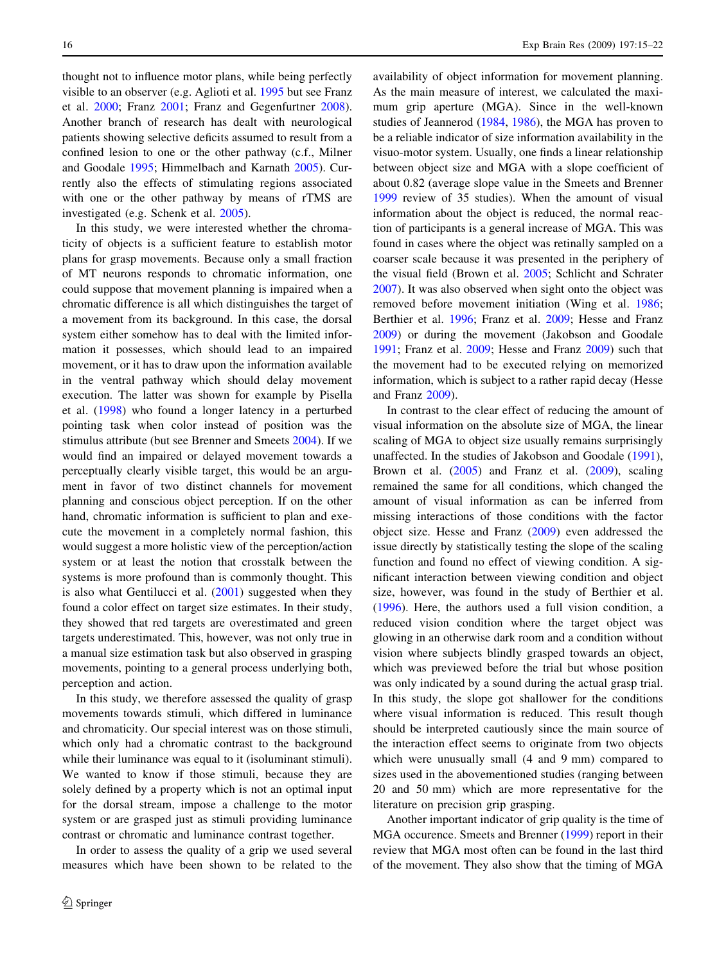thought not to influence motor plans, while being perfectly visible to an observer (e.g. Aglioti et al. [1995](#page-6-0) but see Franz et al. [2000](#page-6-0); Franz [2001;](#page-6-0) Franz and Gegenfurtner [2008](#page-6-0)). Another branch of research has dealt with neurological patients showing selective deficits assumed to result from a confined lesion to one or the other pathway (c.f., Milner and Goodale [1995](#page-7-0); Himmelbach and Karnath [2005\)](#page-7-0). Currently also the effects of stimulating regions associated with one or the other pathway by means of rTMS are investigated (e.g. Schenk et al. [2005](#page-7-0)).

In this study, we were interested whether the chromaticity of objects is a sufficient feature to establish motor plans for grasp movements. Because only a small fraction of MT neurons responds to chromatic information, one could suppose that movement planning is impaired when a chromatic difference is all which distinguishes the target of a movement from its background. In this case, the dorsal system either somehow has to deal with the limited information it possesses, which should lead to an impaired movement, or it has to draw upon the information available in the ventral pathway which should delay movement execution. The latter was shown for example by Pisella et al. [\(1998](#page-7-0)) who found a longer latency in a perturbed pointing task when color instead of position was the stimulus attribute (but see Brenner and Smeets [2004](#page-6-0)). If we would find an impaired or delayed movement towards a perceptually clearly visible target, this would be an argument in favor of two distinct channels for movement planning and conscious object perception. If on the other hand, chromatic information is sufficient to plan and execute the movement in a completely normal fashion, this would suggest a more holistic view of the perception/action system or at least the notion that crosstalk between the systems is more profound than is commonly thought. This is also what Gentilucci et al. ([2001\)](#page-7-0) suggested when they found a color effect on target size estimates. In their study, they showed that red targets are overestimated and green targets underestimated. This, however, was not only true in a manual size estimation task but also observed in grasping movements, pointing to a general process underlying both, perception and action.

In this study, we therefore assessed the quality of grasp movements towards stimuli, which differed in luminance and chromaticity. Our special interest was on those stimuli, which only had a chromatic contrast to the background while their luminance was equal to it (isoluminant stimuli). We wanted to know if those stimuli, because they are solely defined by a property which is not an optimal input for the dorsal stream, impose a challenge to the motor system or are grasped just as stimuli providing luminance contrast or chromatic and luminance contrast together.

In order to assess the quality of a grip we used several measures which have been shown to be related to the availability of object information for movement planning. As the main measure of interest, we calculated the maximum grip aperture (MGA). Since in the well-known studies of Jeannerod ([1984,](#page-7-0) [1986\)](#page-7-0), the MGA has proven to be a reliable indicator of size information availability in the visuo-motor system. Usually, one finds a linear relationship between object size and MGA with a slope coefficient of about 0.82 (average slope value in the Smeets and Brenner [1999](#page-7-0) review of 35 studies). When the amount of visual information about the object is reduced, the normal reaction of participants is a general increase of MGA. This was found in cases where the object was retinally sampled on a coarser scale because it was presented in the periphery of the visual field (Brown et al. [2005;](#page-6-0) Schlicht and Schrater [2007](#page-7-0)). It was also observed when sight onto the object was removed before movement initiation (Wing et al. [1986](#page-7-0); Berthier et al. [1996;](#page-6-0) Franz et al. [2009;](#page-6-0) Hesse and Franz [2009](#page-7-0)) or during the movement (Jakobson and Goodale [1991](#page-7-0); Franz et al. [2009;](#page-6-0) Hesse and Franz [2009\)](#page-7-0) such that the movement had to be executed relying on memorized information, which is subject to a rather rapid decay (Hesse and Franz [2009\)](#page-7-0).

In contrast to the clear effect of reducing the amount of visual information on the absolute size of MGA, the linear scaling of MGA to object size usually remains surprisingly unaffected. In the studies of Jakobson and Goodale [\(1991](#page-7-0)), Brown et al. [\(2005](#page-6-0)) and Franz et al. ([2009\)](#page-6-0), scaling remained the same for all conditions, which changed the amount of visual information as can be inferred from missing interactions of those conditions with the factor object size. Hesse and Franz [\(2009](#page-7-0)) even addressed the issue directly by statistically testing the slope of the scaling function and found no effect of viewing condition. A significant interaction between viewing condition and object size, however, was found in the study of Berthier et al. [\(1996](#page-6-0)). Here, the authors used a full vision condition, a reduced vision condition where the target object was glowing in an otherwise dark room and a condition without vision where subjects blindly grasped towards an object, which was previewed before the trial but whose position was only indicated by a sound during the actual grasp trial. In this study, the slope got shallower for the conditions where visual information is reduced. This result though should be interpreted cautiously since the main source of the interaction effect seems to originate from two objects which were unusually small (4 and 9 mm) compared to sizes used in the abovementioned studies (ranging between 20 and 50 mm) which are more representative for the literature on precision grip grasping.

Another important indicator of grip quality is the time of MGA occurence. Smeets and Brenner ([1999\)](#page-7-0) report in their review that MGA most often can be found in the last third of the movement. They also show that the timing of MGA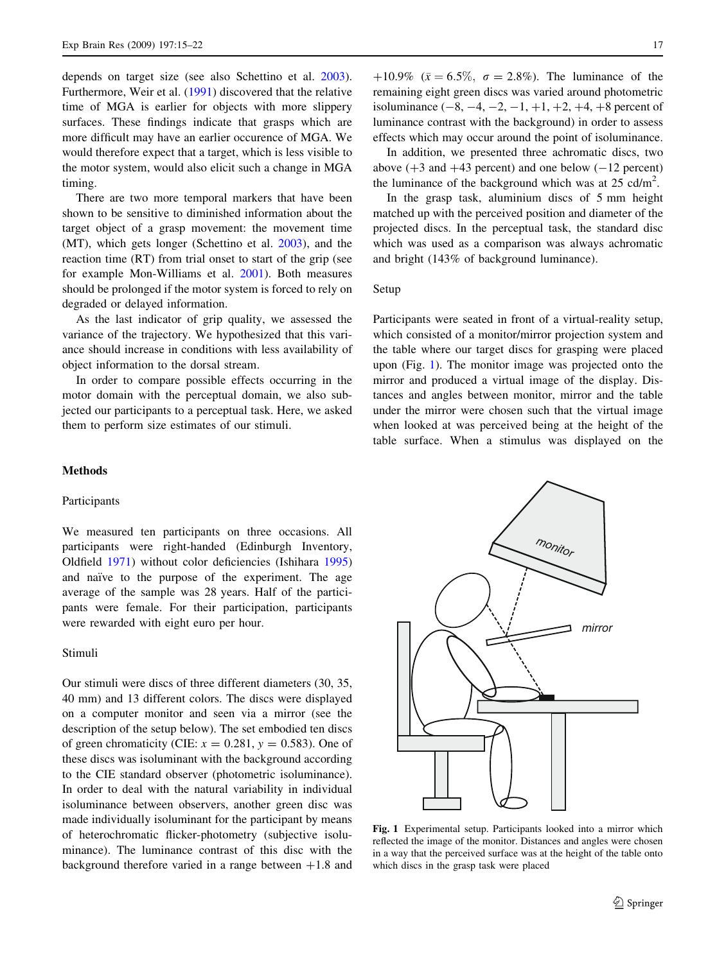depends on target size (see also Schettino et al. [2003](#page-7-0)). Furthermore, Weir et al. [\(1991](#page-7-0)) discovered that the relative time of MGA is earlier for objects with more slippery surfaces. These findings indicate that grasps which are more difficult may have an earlier occurence of MGA. We would therefore expect that a target, which is less visible to the motor system, would also elicit such a change in MGA timing.

There are two more temporal markers that have been shown to be sensitive to diminished information about the target object of a grasp movement: the movement time (MT), which gets longer (Schettino et al. [2003](#page-7-0)), and the reaction time (RT) from trial onset to start of the grip (see for example Mon-Williams et al. [2001\)](#page-7-0). Both measures should be prolonged if the motor system is forced to rely on degraded or delayed information.

As the last indicator of grip quality, we assessed the variance of the trajectory. We hypothesized that this variance should increase in conditions with less availability of object information to the dorsal stream.

In order to compare possible effects occurring in the motor domain with the perceptual domain, we also subjected our participants to a perceptual task. Here, we asked them to perform size estimates of our stimuli.

# Methods

#### Participants

We measured ten participants on three occasions. All participants were right-handed (Edinburgh Inventory, Oldfield [1971\)](#page-7-0) without color deficiencies (Ishihara [1995\)](#page-7-0) and naïve to the purpose of the experiment. The age average of the sample was 28 years. Half of the participants were female. For their participation, participants were rewarded with eight euro per hour.

# Stimuli

<span id="page-2-0"></span>Our stimuli were discs of three different diameters (30, 35, 40 mm) and 13 different colors. The discs were displayed on a computer monitor and seen via a mirror (see the description of the setup below). The set embodied ten discs of green chromaticity (CIE:  $x = 0.281$ ,  $y = 0.583$ ). One of these discs was isoluminant with the background according to the CIE standard observer (photometric isoluminance). In order to deal with the natural variability in individual isoluminance between observers, another green disc was made individually isoluminant for the participant by means of heterochromatic flicker-photometry (subjective isoluminance). The luminance contrast of this disc with the background therefore varied in a range between  $+1.8$  and

 $+10.9\%$  ( $\bar{x} = 6.5\%$ ,  $\sigma = 2.8\%$ ). The luminance of the remaining eight green discs was varied around photometric isoluminance  $(-8, -4, -2, -1, +1, +2, +4, +8$  percent of luminance contrast with the background) in order to assess effects which may occur around the point of isoluminance.

In addition, we presented three achromatic discs, two above  $(+3$  and  $+43$  percent) and one below  $(-12$  percent) the luminance of the background which was at  $25 \text{ cd/m}^2$ .

In the grasp task, aluminium discs of 5 mm height matched up with the perceived position and diameter of the projected discs. In the perceptual task, the standard disc which was used as a comparison was always achromatic and bright (143% of background luminance).

# Setup

Participants were seated in front of a virtual-reality setup, which consisted of a monitor/mirror projection system and the table where our target discs for grasping were placed upon (Fig. [1](#page-2-0)). The monitor image was projected onto the mirror and produced a virtual image of the display. Distances and angles between monitor, mirror and the table under the mirror were chosen such that the virtual image when looked at was perceived being at the height of the table surface. When a stimulus was displayed on the



Fig. 1 Experimental setup. Participants looked into a mirror which reflected the image of the monitor. Distances and angles were chosen in a way that the perceived surface was at the height of the table onto which discs in the grasp task were placed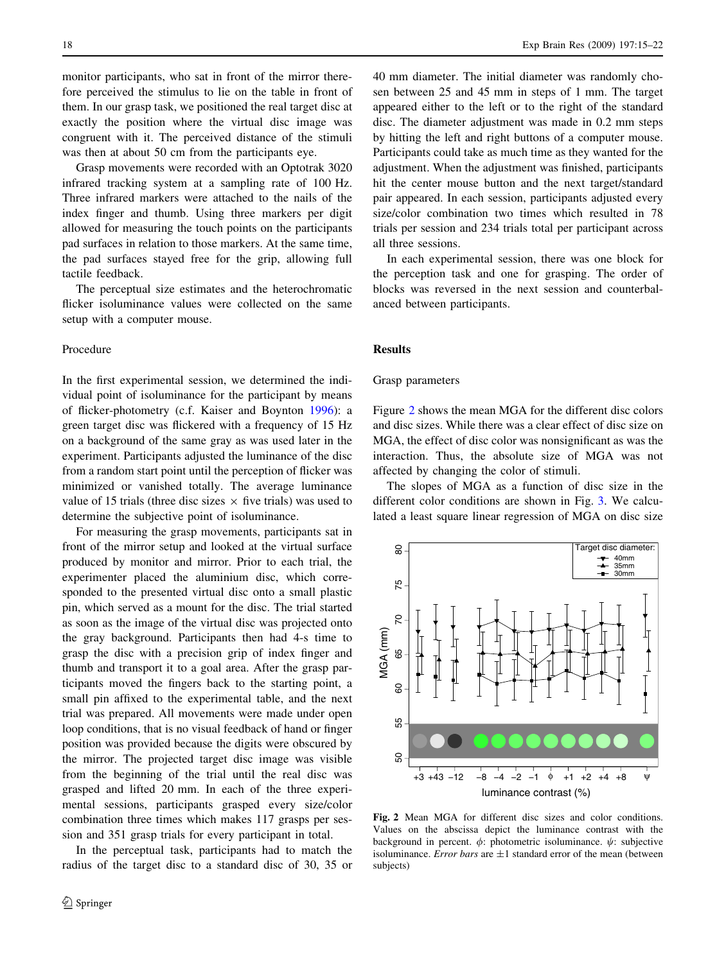monitor participants, who sat in front of the mirror therefore perceived the stimulus to lie on the table in front of them. In our grasp task, we positioned the real target disc at exactly the position where the virtual disc image was congruent with it. The perceived distance of the stimuli was then at about 50 cm from the participants eye.

Grasp movements were recorded with an Optotrak 3020 infrared tracking system at a sampling rate of 100 Hz. Three infrared markers were attached to the nails of the index finger and thumb. Using three markers per digit allowed for measuring the touch points on the participants pad surfaces in relation to those markers. At the same time, the pad surfaces stayed free for the grip, allowing full tactile feedback.

The perceptual size estimates and the heterochromatic flicker isoluminance values were collected on the same setup with a computer mouse.

#### Procedure

In the first experimental session, we determined the individual point of isoluminance for the participant by means of flicker-photometry (c.f. Kaiser and Boynton [1996\)](#page-7-0): a green target disc was flickered with a frequency of 15 Hz on a background of the same gray as was used later in the experiment. Participants adjusted the luminance of the disc from a random start point until the perception of flicker was minimized or vanished totally. The average luminance value of 15 trials (three disc sizes  $\times$  five trials) was used to determine the subjective point of isoluminance.

For measuring the grasp movements, participants sat in front of the mirror setup and looked at the virtual surface produced by monitor and mirror. Prior to each trial, the experimenter placed the aluminium disc, which corresponded to the presented virtual disc onto a small plastic pin, which served as a mount for the disc. The trial started as soon as the image of the virtual disc was projected onto the gray background. Participants then had 4-s time to grasp the disc with a precision grip of index finger and thumb and transport it to a goal area. After the grasp participants moved the fingers back to the starting point, a small pin affixed to the experimental table, and the next trial was prepared. All movements were made under open loop conditions, that is no visual feedback of hand or finger position was provided because the digits were obscured by the mirror. The projected target disc image was visible from the beginning of the trial until the real disc was grasped and lifted 20 mm. In each of the three experimental sessions, participants grasped every size/color combination three times which makes 117 grasps per session and 351 grasp trials for every participant in total.

<span id="page-3-0"></span>In the perceptual task, participants had to match the radius of the target disc to a standard disc of 30, 35 or 40 mm diameter. The initial diameter was randomly chosen between 25 and 45 mm in steps of 1 mm. The target appeared either to the left or to the right of the standard disc. The diameter adjustment was made in 0.2 mm steps by hitting the left and right buttons of a computer mouse. Participants could take as much time as they wanted for the adjustment. When the adjustment was finished, participants hit the center mouse button and the next target/standard pair appeared. In each session, participants adjusted every size/color combination two times which resulted in 78 trials per session and 234 trials total per participant across all three sessions.

In each experimental session, there was one block for the perception task and one for grasping. The order of blocks was reversed in the next session and counterbalanced between participants.

# Results

#### Grasp parameters

Figure [2](#page-3-0) shows the mean MGA for the different disc colors and disc sizes. While there was a clear effect of disc size on MGA, the effect of disc color was nonsignificant as was the interaction. Thus, the absolute size of MGA was not affected by changing the color of stimuli.

The slopes of MGA as a function of disc size in the different color conditions are shown in Fig. [3.](#page-4-0) We calculated a least square linear regression of MGA on disc size



Fig. 2 Mean MGA for different disc sizes and color conditions. Values on the abscissa depict the luminance contrast with the background in percent.  $\phi$ : photometric isoluminance.  $\psi$ : subjective isoluminance. *Error bars* are  $\pm 1$  standard error of the mean (between subjects)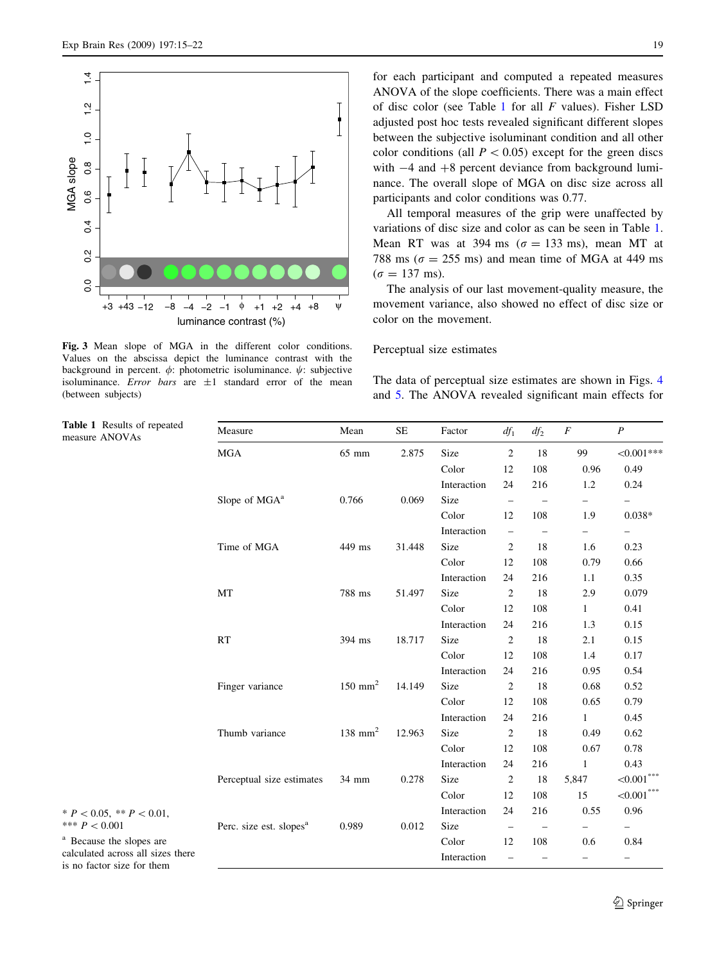

Fig. 3 Mean slope of MGA in the different color conditions. Values on the abscissa depict the luminance contrast with the background in percent.  $\phi$ : photometric isoluminance.  $\psi$ : subjective isoluminance. *Error bars* are  $\pm 1$  standard error of the mean (between subjects)

for each participant and computed a repeated measures ANOVA of the slope coefficients. There was a main effect of disc color (see Table [1](#page-4-0) for all  $F$  values). Fisher LSD adjusted post hoc tests revealed significant different slopes between the subjective isoluminant condition and all other color conditions (all  $P < 0.05$ ) except for the green discs with  $-4$  and  $+8$  percent deviance from background luminance. The overall slope of MGA on disc size across all participants and color conditions was 0.77.

All temporal measures of the grip were unaffected by variations of disc size and color as can be seen in Table [1.](#page-4-0) Mean RT was at 394 ms ( $\sigma = 133$  ms), mean MT at 788 ms ( $\sigma = 255$  ms) and mean time of MGA at 449 ms  $(\sigma = 137 \text{ ms}).$ 

The analysis of our last movement-quality measure, the movement variance, also showed no effect of disc size or color on the movement.

# Perceptual size estimates

The data of perceptual size estimates are shown in Figs. [4](#page-5-0) and [5](#page-5-0). The ANOVA revealed significant main effects for

<span id="page-4-0"></span>

| Table 1 Results of repeated<br>measure ANOVAs                   | Measure                             | Mean                  | <b>SE</b> | Factor      | $df_1$                   | $df_2$                   | $\cal F$                 | $\boldsymbol{P}$          |
|-----------------------------------------------------------------|-------------------------------------|-----------------------|-----------|-------------|--------------------------|--------------------------|--------------------------|---------------------------|
|                                                                 | <b>MGA</b>                          | 65 mm                 | 2.875     | Size        | 2                        | 18                       | 99                       | $<0.001***$               |
|                                                                 |                                     |                       |           | Color       | 12                       | 108                      | 0.96                     | 0.49                      |
|                                                                 |                                     |                       |           | Interaction | 24                       | 216                      | 1.2                      | 0.24                      |
|                                                                 | Slope of MGA <sup>a</sup>           | 0.766                 | 0.069     | Size        | $\overline{\phantom{m}}$ | $\overline{\phantom{0}}$ | -                        | -                         |
|                                                                 |                                     |                       |           | Color       | 12                       | 108                      | 1.9                      | $0.038*$                  |
|                                                                 |                                     |                       |           | Interaction | $\qquad \qquad -$        | $\qquad \qquad -$        | $\overline{\phantom{0}}$ | -                         |
|                                                                 | Time of MGA                         | 449 ms                | 31.448    | Size        | 2                        | 18                       | 1.6                      | 0.23                      |
|                                                                 |                                     |                       |           | Color       | 12                       | 108                      | 0.79                     | 0.66                      |
|                                                                 |                                     |                       |           | Interaction | 24                       | 216                      | 1.1                      | 0.35                      |
|                                                                 | MT                                  | 788 ms                | 51.497    | Size        | 2                        | 18                       | 2.9                      | 0.079                     |
|                                                                 |                                     |                       |           | Color       | 12                       | 108                      | $\mathbf{1}$             | 0.41                      |
|                                                                 |                                     |                       |           | Interaction | 24                       | 216                      | 1.3                      | 0.15                      |
|                                                                 | <b>RT</b>                           | 394 ms                | 18.717    | Size        | 2                        | 18                       | 2.1                      | 0.15                      |
|                                                                 |                                     |                       |           | Color       | 12                       | 108                      | 1.4                      | 0.17                      |
|                                                                 |                                     |                       |           | Interaction | 24                       | 216                      | 0.95                     | 0.54                      |
|                                                                 | Finger variance                     | $150$ mm <sup>2</sup> | 14.149    | Size        | 2                        | 18                       | 0.68                     | 0.52                      |
|                                                                 |                                     |                       |           | Color       | 12                       | 108                      | 0.65                     | 0.79                      |
|                                                                 |                                     |                       |           | Interaction | 24                       | 216                      | 1                        | 0.45                      |
|                                                                 | Thumb variance                      | $138$ mm <sup>2</sup> | 12.963    | Size        | 2                        | 18                       | 0.49                     | 0.62                      |
|                                                                 |                                     |                       |           | Color       | 12                       | 108                      | 0.67                     | 0.78                      |
|                                                                 |                                     |                       |           | Interaction | 24                       | 216                      | $\mathbf{1}$             | 0.43                      |
|                                                                 | Perceptual size estimates           | 34 mm                 | 0.278     | Size        | 2                        | 18                       | 5,847                    | ${<}0.001^{***}$          |
|                                                                 |                                     |                       |           | Color       | 12                       | 108                      | 15                       | ${<}0.001^{\ast\ast\ast}$ |
| * $P < 0.05$ , ** $P < 0.01$ ,                                  |                                     |                       |           | Interaction | 24                       | 216                      | 0.55                     | 0.96                      |
| *** $P < 0.001$                                                 | Perc. size est. slopes <sup>a</sup> | 0.989                 | 0.012     | Size        | $\qquad \qquad -$        |                          |                          |                           |
| <sup>a</sup> Because the slopes are                             |                                     |                       |           | Color       | 12                       | 108                      | 0.6                      | 0.84                      |
| calculated across all sizes there<br>is no factor size for them |                                     |                       |           | Interaction |                          | $\overline{\phantom{0}}$ | $\overline{\phantom{0}}$ | $\overline{\phantom{m}}$  |

<sup>2</sup> Springer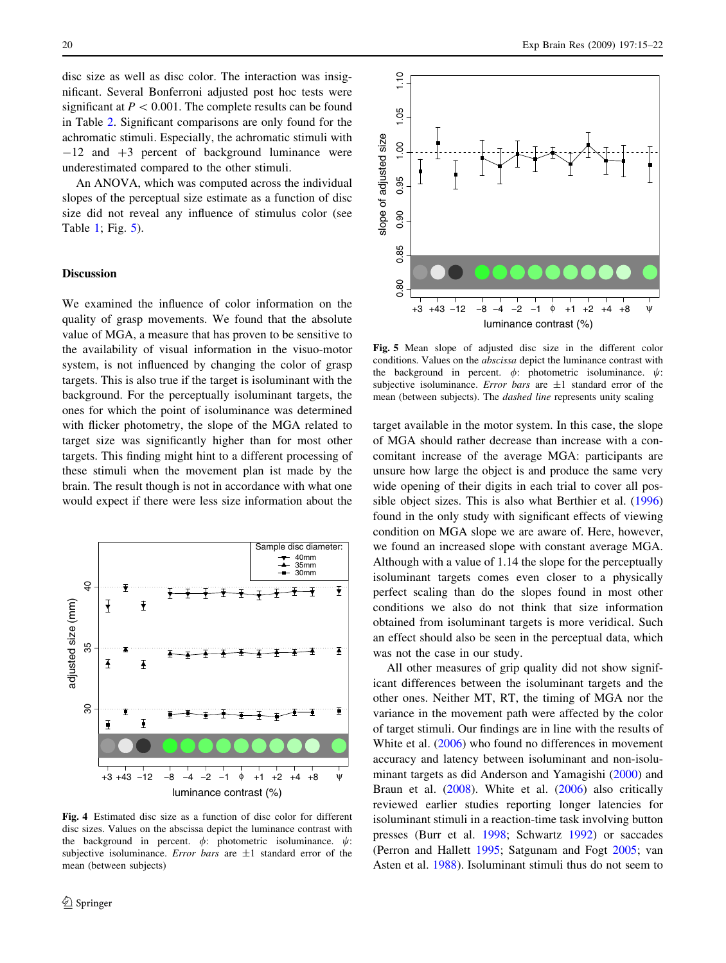disc size as well as disc color. The interaction was insignificant. Several Bonferroni adjusted post hoc tests were significant at  $P < 0.001$ . The complete results can be found in Table [2](#page-6-0). Significant comparisons are only found for the achromatic stimuli. Especially, the achromatic stimuli with  $-12$  and  $+3$  percent of background luminance were underestimated compared to the other stimuli.

An ANOVA, which was computed across the individual slopes of the perceptual size estimate as a function of disc size did not reveal any influence of stimulus color (see Table [1](#page-4-0); Fig. [5](#page-5-0)).

### Discussion

We examined the influence of color information on the quality of grasp movements. We found that the absolute value of MGA, a measure that has proven to be sensitive to the availability of visual information in the visuo-motor system, is not influenced by changing the color of grasp targets. This is also true if the target is isoluminant with the background. For the perceptually isoluminant targets, the ones for which the point of isoluminance was determined with flicker photometry, the slope of the MGA related to target size was significantly higher than for most other targets. This finding might hint to a different processing of these stimuli when the movement plan ist made by the brain. The result though is not in accordance with what one would expect if there were less size information about the



<span id="page-5-0"></span>Fig. 4 Estimated disc size as a function of disc color for different disc sizes. Values on the abscissa depict the luminance contrast with the background in percent.  $\phi$ : photometric isoluminance.  $\psi$ : subjective isoluminance. Error bars are  $\pm 1$  standard error of the mean (between subjects)



Fig. 5 Mean slope of adjusted disc size in the different color conditions. Values on the abscissa depict the luminance contrast with the background in percent.  $\phi$ : photometric isoluminance.  $\psi$ : subjective isoluminance. Error bars are  $\pm 1$  standard error of the mean (between subjects). The dashed line represents unity scaling

target available in the motor system. In this case, the slope of MGA should rather decrease than increase with a concomitant increase of the average MGA: participants are unsure how large the object is and produce the same very wide opening of their digits in each trial to cover all possible object sizes. This is also what Berthier et al. ([1996\)](#page-6-0) found in the only study with significant effects of viewing condition on MGA slope we are aware of. Here, however, we found an increased slope with constant average MGA. Although with a value of 1.14 the slope for the perceptually isoluminant targets comes even closer to a physically perfect scaling than do the slopes found in most other conditions we also do not think that size information obtained from isoluminant targets is more veridical. Such an effect should also be seen in the perceptual data, which was not the case in our study.

All other measures of grip quality did not show significant differences between the isoluminant targets and the other ones. Neither MT, RT, the timing of MGA nor the variance in the movement path were affected by the color of target stimuli. Our findings are in line with the results of White et al. [\(2006](#page-7-0)) who found no differences in movement accuracy and latency between isoluminant and non-isoluminant targets as did Anderson and Yamagishi [\(2000](#page-6-0)) and Braun et al. ([2008\)](#page-6-0). White et al. ([2006](#page-7-0)) also critically reviewed earlier studies reporting longer latencies for isoluminant stimuli in a reaction-time task involving button presses (Burr et al. [1998;](#page-6-0) Schwartz [1992\)](#page-7-0) or saccades (Perron and Hallett [1995](#page-7-0); Satgunam and Fogt [2005;](#page-7-0) van Asten et al. [1988](#page-7-0)). Isoluminant stimuli thus do not seem to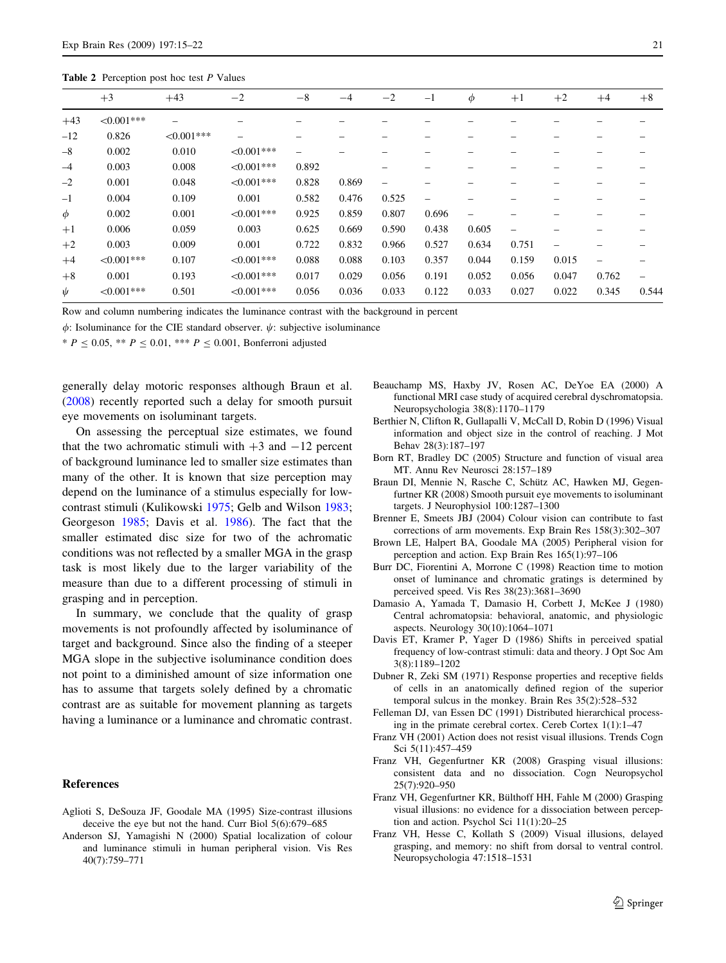**Table 2** Perception post hoc test  $P$  Values

|        | $+3$        | $+43$       | $-2$        | $-8$  | $-4$  | $-2$  | $-1$  | $\phi$ | $+1$                     | $+2$                     | $+4$  | $+8$  |
|--------|-------------|-------------|-------------|-------|-------|-------|-------|--------|--------------------------|--------------------------|-------|-------|
| $+43$  | $<0.001***$ |             |             |       |       |       |       |        |                          |                          |       |       |
| $-12$  | 0.826       | $<0.001***$ |             |       |       |       |       |        |                          |                          |       |       |
| $-8$   | 0.002       | 0.010       | $<0.001***$ |       |       |       |       |        |                          |                          |       |       |
| $-4$   | 0.003       | 0.008       | $<0.001***$ | 0.892 |       |       |       |        |                          |                          |       |       |
| $-2$   | 0.001       | 0.048       | $<0.001***$ | 0.828 | 0.869 |       |       |        |                          |                          |       |       |
| $-1$   | 0.004       | 0.109       | 0.001       | 0.582 | 0.476 | 0.525 |       |        |                          |                          |       |       |
| $\phi$ | 0.002       | 0.001       | $<0.001***$ | 0.925 | 0.859 | 0.807 | 0.696 |        |                          |                          |       |       |
| $+1$   | 0.006       | 0.059       | 0.003       | 0.625 | 0.669 | 0.590 | 0.438 | 0.605  | $\overline{\phantom{0}}$ |                          |       |       |
| $+2$   | 0.003       | 0.009       | 0.001       | 0.722 | 0.832 | 0.966 | 0.527 | 0.634  | 0.751                    | $\overline{\phantom{0}}$ |       |       |
| $+4$   | $<0.001***$ | 0.107       | $<0.001***$ | 0.088 | 0.088 | 0.103 | 0.357 | 0.044  | 0.159                    | 0.015                    |       |       |
| $+8$   | 0.001       | 0.193       | $<0.001***$ | 0.017 | 0.029 | 0.056 | 0.191 | 0.052  | 0.056                    | 0.047                    | 0.762 | -     |
| $\psi$ | $<0.001***$ | 0.501       | $<0.001***$ | 0.056 | 0.036 | 0.033 | 0.122 | 0.033  | 0.027                    | 0.022                    | 0.345 | 0.544 |

Row and column numbering indicates the luminance contrast with the background in percent

 $\phi$ : Isoluminance for the CIE standard observer.  $\psi$ : subjective isoluminance

\*  $P \le 0.05$ , \*\*  $P \le 0.01$ , \*\*\*  $P \le 0.001$ , Bonferroni adjusted

generally delay motoric responses although Braun et al. [\(2008](#page-6-0)) recently reported such a delay for smooth pursuit eye movements on isoluminant targets.

On assessing the perceptual size estimates, we found that the two achromatic stimuli with  $+3$  and  $-12$  percent of background luminance led to smaller size estimates than many of the other. It is known that size perception may depend on the luminance of a stimulus especially for lowcontrast stimuli (Kulikowski [1975](#page-7-0); Gelb and Wilson [1983](#page-7-0); Georgeson [1985;](#page-7-0) Davis et al. [1986\)](#page-6-0). The fact that the smaller estimated disc size for two of the achromatic conditions was not reflected by a smaller MGA in the grasp task is most likely due to the larger variability of the measure than due to a different processing of stimuli in grasping and in perception.

In summary, we conclude that the quality of grasp movements is not profoundly affected by isoluminance of target and background. Since also the finding of a steeper MGA slope in the subjective isoluminance condition does not point to a diminished amount of size information one has to assume that targets solely defined by a chromatic contrast are as suitable for movement planning as targets having a luminance or a luminance and chromatic contrast.

# References

- Aglioti S, DeSouza JF, Goodale MA (1995) Size-contrast illusions deceive the eye but not the hand. Curr Biol 5(6):679–685
- <span id="page-6-0"></span>Anderson SJ, Yamagishi N (2000) Spatial localization of colour and luminance stimuli in human peripheral vision. Vis Res 40(7):759–771
- Beauchamp MS, Haxby JV, Rosen AC, DeYoe EA (2000) A functional MRI case study of acquired cerebral dyschromatopsia. Neuropsychologia 38(8):1170–1179
- Berthier N, Clifton R, Gullapalli V, McCall D, Robin D (1996) Visual information and object size in the control of reaching. J Mot Behav 28(3):187–197
- Born RT, Bradley DC (2005) Structure and function of visual area MT. Annu Rev Neurosci 28:157–189
- Braun DI, Mennie N, Rasche C, Schütz AC, Hawken MJ, Gegenfurtner KR (2008) Smooth pursuit eye movements to isoluminant targets. J Neurophysiol 100:1287–1300
- Brenner E, Smeets JBJ (2004) Colour vision can contribute to fast corrections of arm movements. Exp Brain Res 158(3):302–307
- Brown LE, Halpert BA, Goodale MA (2005) Peripheral vision for perception and action. Exp Brain Res 165(1):97–106
- Burr DC, Fiorentini A, Morrone C (1998) Reaction time to motion onset of luminance and chromatic gratings is determined by perceived speed. Vis Res 38(23):3681–3690
- Damasio A, Yamada T, Damasio H, Corbett J, McKee J (1980) Central achromatopsia: behavioral, anatomic, and physiologic aspects. Neurology 30(10):1064–1071
- Davis ET, Kramer P, Yager D (1986) Shifts in perceived spatial frequency of low-contrast stimuli: data and theory. J Opt Soc Am 3(8):1189–1202
- Dubner R, Zeki SM (1971) Response properties and receptive fields of cells in an anatomically defined region of the superior temporal sulcus in the monkey. Brain Res 35(2):528–532
- Felleman DJ, van Essen DC (1991) Distributed hierarchical processing in the primate cerebral cortex. Cereb Cortex 1(1):1–47
- Franz VH (2001) Action does not resist visual illusions. Trends Cogn Sci 5(11):457–459
- Franz VH, Gegenfurtner KR (2008) Grasping visual illusions: consistent data and no dissociation. Cogn Neuropsychol 25(7):920–950
- Franz VH, Gegenfurtner KR, Bülthoff HH, Fahle M (2000) Grasping visual illusions: no evidence for a dissociation between perception and action. Psychol Sci 11(1):20–25
- Franz VH, Hesse C, Kollath S (2009) Visual illusions, delayed grasping, and memory: no shift from dorsal to ventral control. Neuropsychologia 47:1518–1531